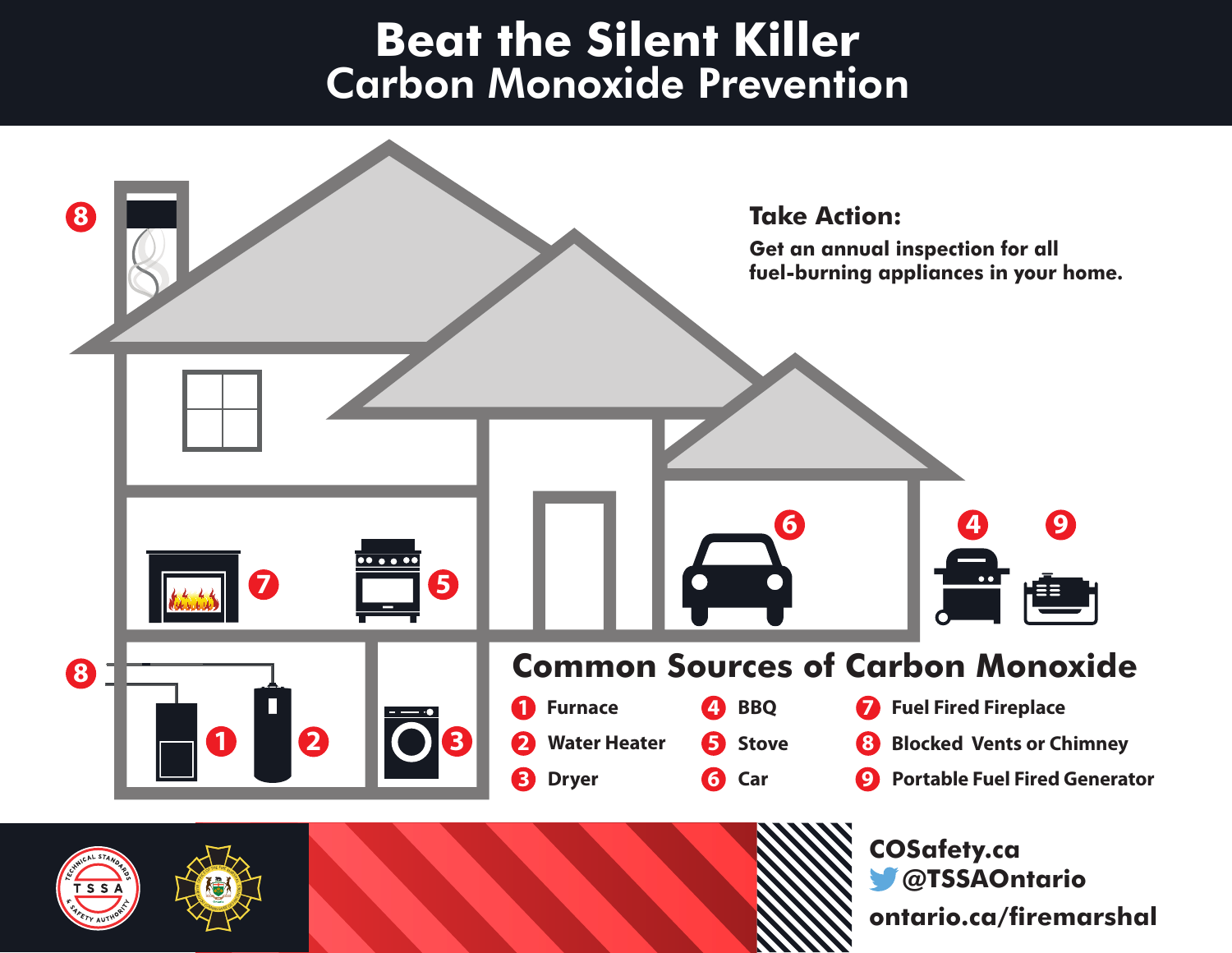# **Beat the Silent Killer** Carbon Monoxide Prevention